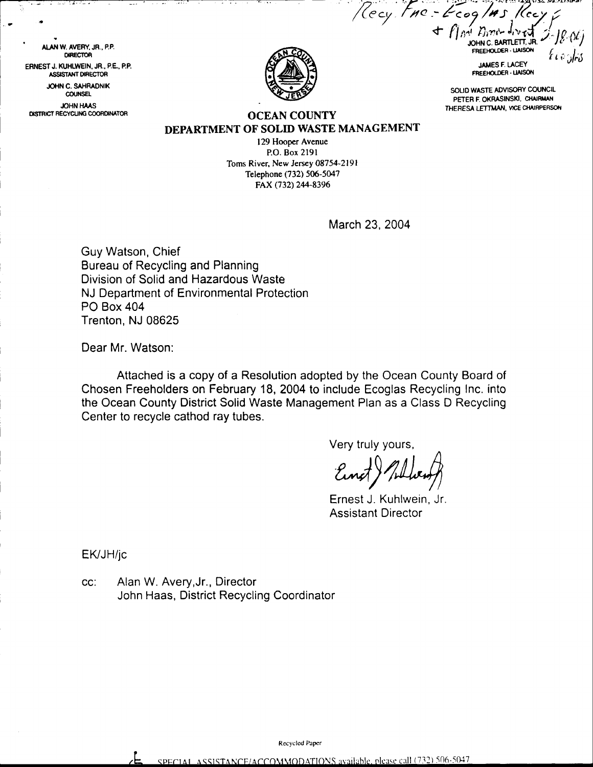$\mathcal{L}$  :  $2\cos\pi s$ , Recy  $\frac{1}{2}$  $f_{\text{max}}$ FREEHOLOF BARTLETT, JR. t rv JFt)

**JAMES F. LACEY** FREEHOLDER - LIAISON  $"$ 

SOLID WASTE ADVISORY COUNCIL PETER F. OKRASINSKI, CHAIRMAN THERESA LETTMAN, VICE CHAIRPERSON



OCEAN COUNTY DEPARTMENT OF SOLID WASTE MANAGEMENT

> 129 Hooper Avenue P.O. Box 2l9l Toms River, New Jersey 08754-2191 Telephone (732) 506-5047 FAX (732) 244-8396

> > March 23, 2004

/(ccy

Guy Watson, Chief Bureau of Recycling and Planning Division of Solid and Hazardous Waste NJ Department of Environmental Protection PO Box 404 Trenton, NJ 08625

Dear Mr. Watson:

ulan W. Avery, Jr., P.P. DIRECTOR ERNEST J. KUHLWEIN, JR., P.E., P.P. JOHN C. SAHRADNIK ASSISTANT DIRECTOR COUNSEL **JOHN HAAS** DISTRICT RECYCLING COORDINATOR

> Attached is a copy of a Resolution adopted by the Ocean County Board of Chosen Freeholders on February 18, 2004 to include Ecoglas Recycling lnc. into the Ocean County District Solid Waste Management Plan as a Class D Recycling Center to recycle cathod ray tubes.

> > Very truly yours,

Einst ) Whiteway

Ernest J. Kuhlwein, Jr. Assistant Director

EK/JH/jc

cc: Alan W. Avery,Jr., Director John Haas, District Recycling Coordinator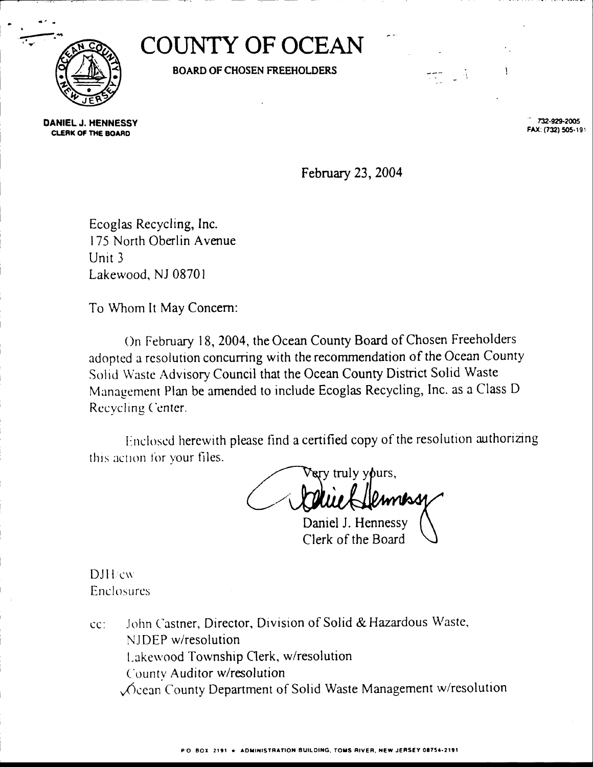

**COUNTY OF OCEAN** 

**BOARD OF CHOSEN FREEHOLDERS** 

DANIEL J. HENNESSY **CLERK OF THE BOARD** 

732-929-2005 FAX: (732) 505-191

 $\sim$   $-4$ 

February 23, 2004

Ecoglas Recycling, Inc. 175 North Oberlin Avenue Unit  $3$ Lakewood, NJ 08701

To Whom It May Concern:

On February 18, 2004, the Ocean County Board of Chosen Freeholders adopted a resolution concurring with the recommendation of the Ocean County Solid Waste Advisory Council that the Ocean County District Solid Waste Management Plan be amended to include Ecoglas Recycling, Inc. as a Class D Recycling Center.

Enclosed herewith please find a certified copy of the resolution authorizing this action for your files.

ery truly yours, Jemness Daniel J. Hennessy

Clerk of the Board

**DJH**cw **Enclosures** 

John Castner, Director, Division of Solid & Hazardous Waste,  $cc$ : NJDEP w/resolution Lakewood Township Clerk, w/resolution County Auditor w/resolution Cocan County Department of Solid Waste Management w/resolution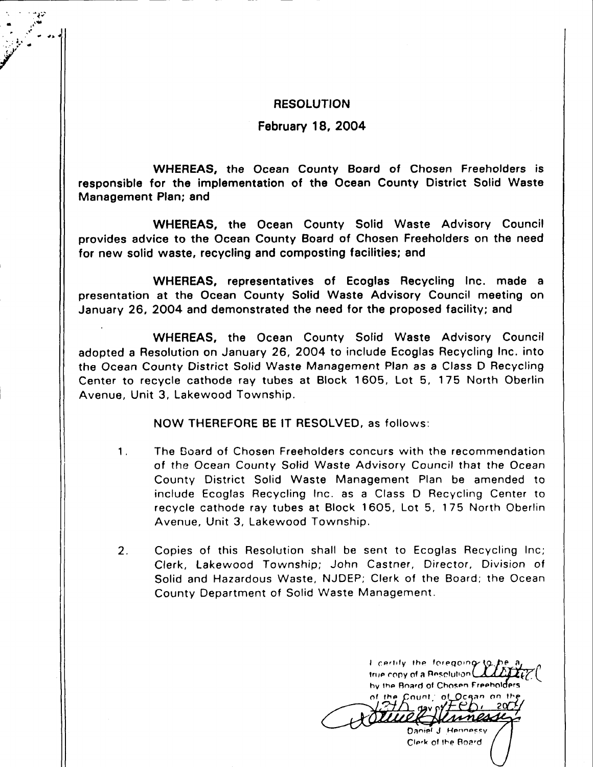## **RESOLUTION**

 $\mathbf{r} = \mathbf{r}$  $\sim$  .  $\lambda$ 

t

February 18, 2004

WHEREAS, the Ocean County Board of Chosen Freeholders is responsible for the implementation of the Ocean County District Solid Waste Management Plan; and

WHEREAS, the Ocean County Solid Waste Advisory Council provides advice to the Ocean County Board of Chosen Freeholders on the need for new solid waste, recycling and composting facilities; and

WHEREAS, representatives of Ecoglas Recycling Inc. made <sup>a</sup> presentation at the Ocean County Solid Waste Advisory Council meeting on January 26, 2OO4 and demonstrated the need for the proposed facility; and

WHEREAS, the Ocean County Solid Waste Advisory Council adopted a Resolution on January 26, 2OO4 to include Ecoglas Recycling lnc. into the Ocean County District Solid Waste Management Plan as a Class D Recycling Center to recycle cathode ray tubes at Block 1605, Lot 5, 175 North Oberlin Avenue, Unit 3, Lakewood Township.

NOW THEREFORE BE lT RESOLVED, as follows:

- The Board of Chosen Freeholders concurs with the recommendation of the Ocean County Sofid Waste Advisory Council that the Ocean County District Solid Waste Management Plan be amended to include Ecoglas Recycling lnc. as a Class D Recycling Center to recycle cathode ray tubes at Block 1605, Lot 5, 175 North Oberlin Avenue, Unit 3, Lakewood Township. 1.
- Copies of this Resolution shall be sent to Ecoglas Recycling Inc; Clerk, Lakewood Township; John Castner, Director, Division of Solid and Hazardous Waste, NJDEP; Clerk of the Board; the Ocean County Department of Solid Waste Management. 2.

I certify the foregoing to true copy of a Besolution hy the Board of Chosen Freeholders Count: of Ocean on th Daniel J. Hennessy Qlerk 6f lhe \$oa'd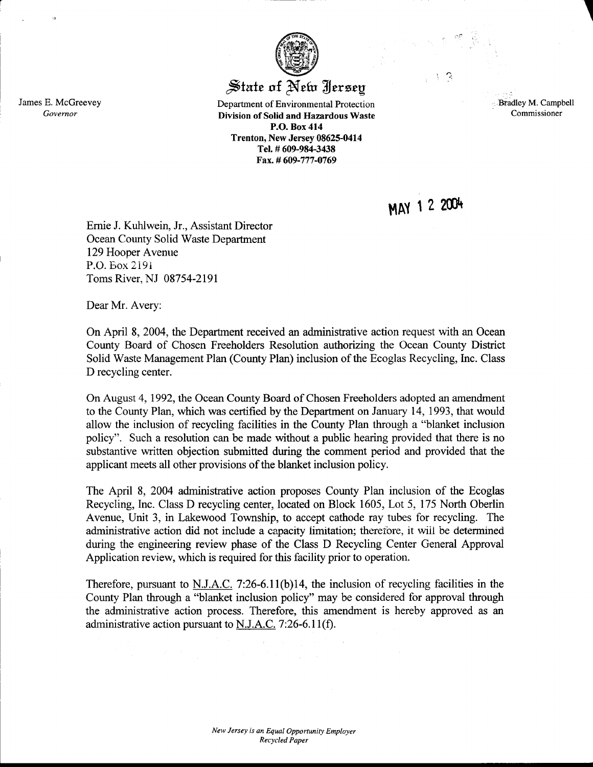## $\frac{1}{2}$ state of New Hersey

Department of Environmental Protection Division of Solid and Hazardous Waste P.O. Box 414 Trenton, New Jersey 08625-0414 Tel. # 609-98+3438 Fax.# 609-777-0769

'.: **Bradley M. Campbell** Commissioner

MAY 12 2004

Emie J. Kuhlwein, Jr., Assistant Director Ocean County Solid Waste Department 129 Hooper Avenue P.O. Box 2191 Toms River, NJ 08754-2191

Dear Mr. Avery:

On April 8,2004, the Departrnent received an administrative action request with an Ocean County Board of Chosen Freeholders Resolution authorizing the Ocean County District Solid Waste Management Plan (County Plan) inclusion of the Ecoglas Recycling, Inc. Class D recycling center.

On August 4,1992, the Ocean County Board of Chosen Freeholders adopted an amendment to the County Plan, which was certified by the Department on January 14, 1993, that would allow the inclusion of recycling facilities in the County Plan through a "blanket inclusion policy". Such a resolution can be made without a public hearing provided that there is no substantive written objection submitted during the comment period and provided that the applicant meets all other provisions of the blanket inclusion policy.

The April 8, 2004 administrative action proposes County Plan inclusion of the Ecoglas Recycling, Inc. Class D recycling center, located on Block 1605, Lot 5, 175 North Oberlin Avenue, Unit 3, in Lakewood Township, to accept cathode ray tubes for recycling. The administrative action did not include a capacity limitation; therefore, it will be determined during the engineering review phase of the Class D Recycling Center General Approval Application review, which is required for this facility prior to operation.

Therefore, pursuant to N.J.A.C. 7:26-6.11(b)14, the inclusion of recycling facilities in the County Plan through a "blanket inclusion policy" may be considered for approval through the administrative action process. Therefore, this amendment is hereby approved as an administrative action pursuant to N.J.A.C. 7:26-6.11(f).

James E. McGreevey Govemor